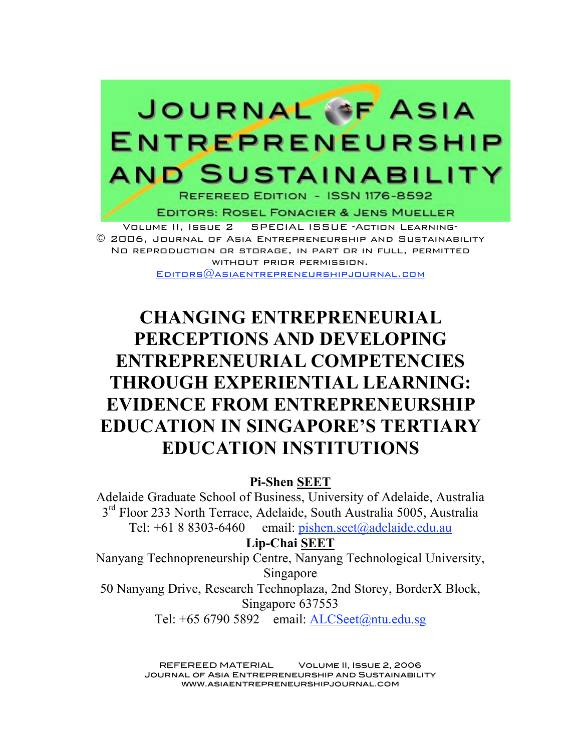

**EDITORS: ROSEL FONACIER & JENS MUELLER** 

Volume II, Issue 2 SPECIAL ISSUE -Action Learning- © 2006, Journal of Asia Entrepreneurship and Sustainability No reproduction or storage, in part or in full, permitted without prior permission. Editors@asiaentrepreneurshipjournal.com

# **CHANGING ENTREPRENEURIAL PERCEPTIONS AND DEVELOPING ENTREPRENEURIAL COMPETENCIES THROUGH EXPERIENTIAL LEARNING: EVIDENCE FROM ENTREPRENEURSHIP EDUCATION IN SINGAPORE'S TERTIARY EDUCATION INSTITUTIONS**

**Pi-Shen SEET**

Adelaide Graduate School of Business, University of Adelaide, Australia 3<sup>rd</sup> Floor 233 North Terrace, Adelaide, South Australia 5005, Australia Tel:  $+6188303-6460$  email: pishen.seet@adelaide.edu.au

**Lip-Chai SEET**

Nanyang Technopreneurship Centre, Nanyang Technological University, Singapore

50 Nanyang Drive, Research Technoplaza, 2nd Storey, BorderX Block, Singapore 637553

Tel: +65 6790 5892 email: ALCSeet@ntu.edu.sg

REFEREED MATERIAL Volume II, Issue 2, 2006 Journal of Asia Entrepreneurship and Sustainability www.asiaentrepreneurshipjournal.com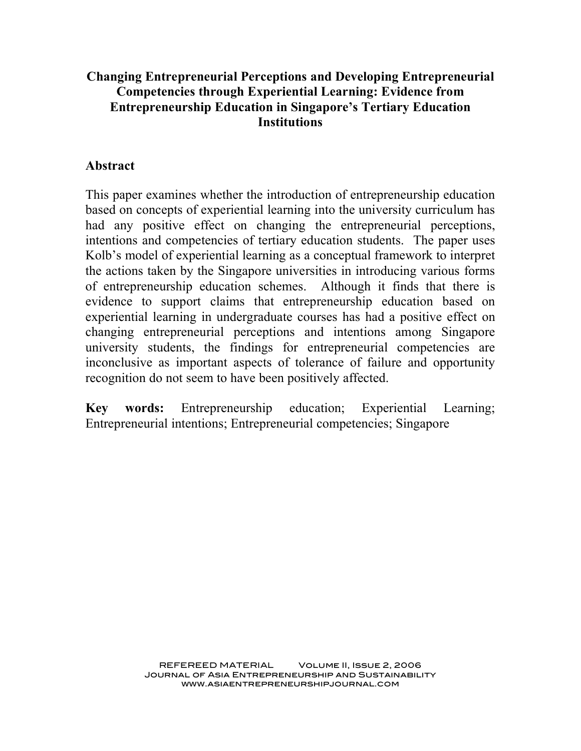## **Changing Entrepreneurial Perceptions and Developing Entrepreneurial Competencies through Experiential Learning: Evidence from Entrepreneurship Education in Singapore's Tertiary Education Institutions**

#### **Abstract**

This paper examines whether the introduction of entrepreneurship education based on concepts of experiential learning into the university curriculum has had any positive effect on changing the entrepreneurial perceptions, intentions and competencies of tertiary education students. The paper uses Kolb's model of experiential learning as a conceptual framework to interpret the actions taken by the Singapore universities in introducing various forms of entrepreneurship education schemes. Although it finds that there is evidence to support claims that entrepreneurship education based on experiential learning in undergraduate courses has had a positive effect on changing entrepreneurial perceptions and intentions among Singapore university students, the findings for entrepreneurial competencies are inconclusive as important aspects of tolerance of failure and opportunity recognition do not seem to have been positively affected.

**Key words:** Entrepreneurship education; Experiential Learning; Entrepreneurial intentions; Entrepreneurial competencies; Singapore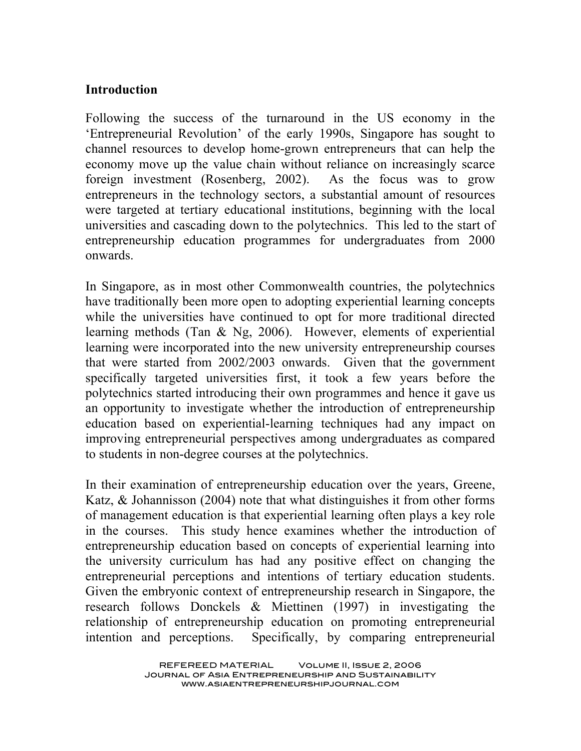#### **Introduction**

Following the success of the turnaround in the US economy in the 'Entrepreneurial Revolution' of the early 1990s, Singapore has sought to channel resources to develop home-grown entrepreneurs that can help the economy move up the value chain without reliance on increasingly scarce foreign investment (Rosenberg, 2002). As the focus was to grow entrepreneurs in the technology sectors, a substantial amount of resources were targeted at tertiary educational institutions, beginning with the local universities and cascading down to the polytechnics. This led to the start of entrepreneurship education programmes for undergraduates from 2000 onwards.

In Singapore, as in most other Commonwealth countries, the polytechnics have traditionally been more open to adopting experiential learning concepts while the universities have continued to opt for more traditional directed learning methods (Tan & Ng, 2006). However, elements of experiential learning were incorporated into the new university entrepreneurship courses that were started from 2002/2003 onwards. Given that the government specifically targeted universities first, it took a few years before the polytechnics started introducing their own programmes and hence it gave us an opportunity to investigate whether the introduction of entrepreneurship education based on experiential-learning techniques had any impact on improving entrepreneurial perspectives among undergraduates as compared to students in non-degree courses at the polytechnics.

In their examination of entrepreneurship education over the years, Greene, Katz, & Johannisson (2004) note that what distinguishes it from other forms of management education is that experiential learning often plays a key role in the courses. This study hence examines whether the introduction of entrepreneurship education based on concepts of experiential learning into the university curriculum has had any positive effect on changing the entrepreneurial perceptions and intentions of tertiary education students. Given the embryonic context of entrepreneurship research in Singapore, the research follows Donckels & Miettinen (1997) in investigating the relationship of entrepreneurship education on promoting entrepreneurial intention and perceptions. Specifically, by comparing entrepreneurial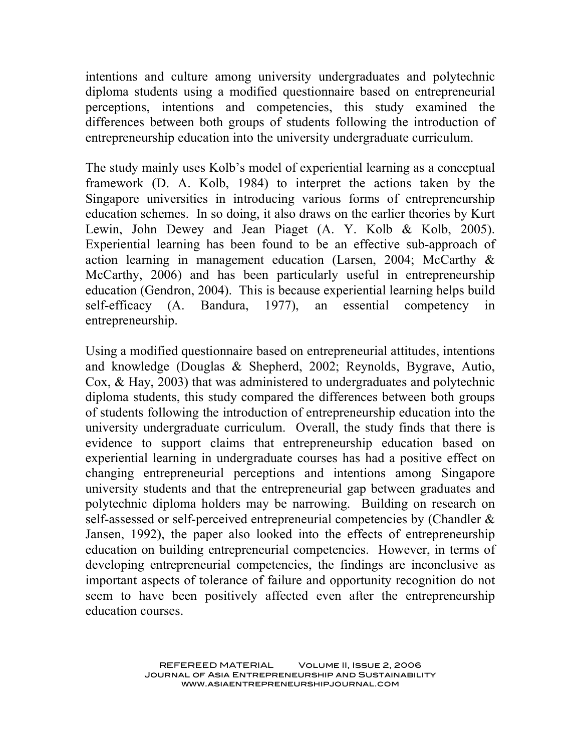intentions and culture among university undergraduates and polytechnic diploma students using a modified questionnaire based on entrepreneurial perceptions, intentions and competencies, this study examined the differences between both groups of students following the introduction of entrepreneurship education into the university undergraduate curriculum.

The study mainly uses Kolb's model of experiential learning as a conceptual framework (D. A. Kolb, 1984) to interpret the actions taken by the Singapore universities in introducing various forms of entrepreneurship education schemes. In so doing, it also draws on the earlier theories by Kurt Lewin, John Dewey and Jean Piaget (A. Y. Kolb & Kolb, 2005). Experiential learning has been found to be an effective sub-approach of action learning in management education (Larsen, 2004; McCarthy & McCarthy, 2006) and has been particularly useful in entrepreneurship education (Gendron, 2004). This is because experiential learning helps build self-efficacy (A. Bandura, 1977), an essential competency in entrepreneurship.

Using a modified questionnaire based on entrepreneurial attitudes, intentions and knowledge (Douglas & Shepherd, 2002; Reynolds, Bygrave, Autio, Cox, & Hay, 2003) that was administered to undergraduates and polytechnic diploma students, this study compared the differences between both groups of students following the introduction of entrepreneurship education into the university undergraduate curriculum. Overall, the study finds that there is evidence to support claims that entrepreneurship education based on experiential learning in undergraduate courses has had a positive effect on changing entrepreneurial perceptions and intentions among Singapore university students and that the entrepreneurial gap between graduates and polytechnic diploma holders may be narrowing. Building on research on self-assessed or self-perceived entrepreneurial competencies by (Chandler & Jansen, 1992), the paper also looked into the effects of entrepreneurship education on building entrepreneurial competencies. However, in terms of developing entrepreneurial competencies, the findings are inconclusive as important aspects of tolerance of failure and opportunity recognition do not seem to have been positively affected even after the entrepreneurship education courses.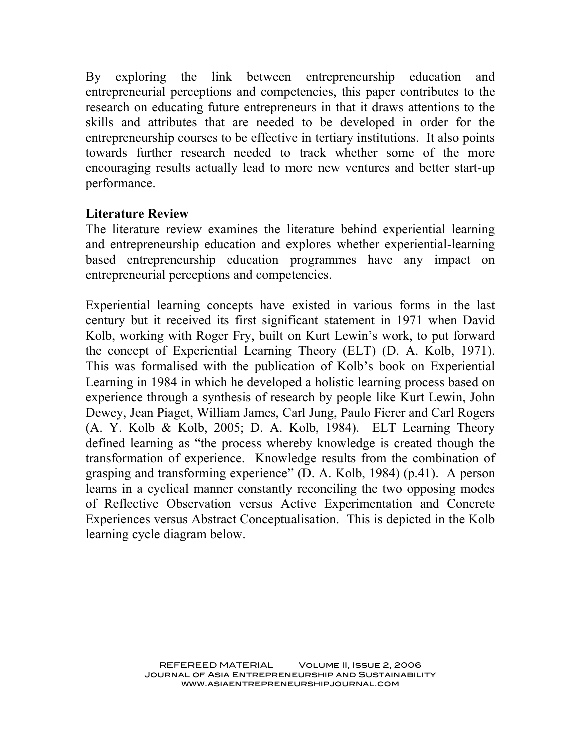By exploring the link between entrepreneurship education and entrepreneurial perceptions and competencies, this paper contributes to the research on educating future entrepreneurs in that it draws attentions to the skills and attributes that are needed to be developed in order for the entrepreneurship courses to be effective in tertiary institutions. It also points towards further research needed to track whether some of the more encouraging results actually lead to more new ventures and better start-up performance.

#### **Literature Review**

The literature review examines the literature behind experiential learning and entrepreneurship education and explores whether experiential-learning based entrepreneurship education programmes have any impact on entrepreneurial perceptions and competencies.

Experiential learning concepts have existed in various forms in the last century but it received its first significant statement in 1971 when David Kolb, working with Roger Fry, built on Kurt Lewin's work, to put forward the concept of Experiential Learning Theory (ELT) (D. A. Kolb, 1971). This was formalised with the publication of Kolb's book on Experiential Learning in 1984 in which he developed a holistic learning process based on experience through a synthesis of research by people like Kurt Lewin, John Dewey, Jean Piaget, William James, Carl Jung, Paulo Fierer and Carl Rogers (A. Y. Kolb & Kolb, 2005; D. A. Kolb, 1984). ELT Learning Theory defined learning as "the process whereby knowledge is created though the transformation of experience. Knowledge results from the combination of grasping and transforming experience" (D. A. Kolb, 1984) (p.41). A person learns in a cyclical manner constantly reconciling the two opposing modes of Reflective Observation versus Active Experimentation and Concrete Experiences versus Abstract Conceptualisation. This is depicted in the Kolb learning cycle diagram below.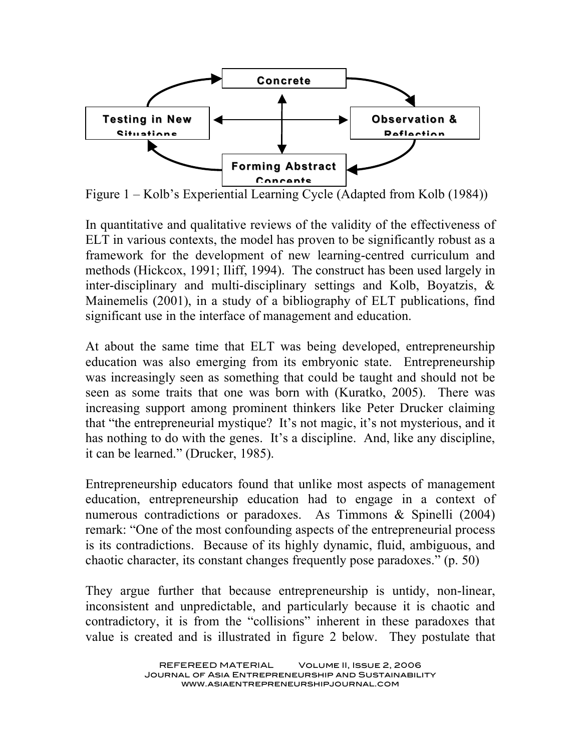

Figure 1 – Kolb's Experiential Learning Cycle (Adapted from Kolb (1984))

In quantitative and qualitative reviews of the validity of the effectiveness of ELT in various contexts, the model has proven to be significantly robust as a framework for the development of new learning-centred curriculum and methods (Hickcox, 1991; Iliff, 1994). The construct has been used largely in inter-disciplinary and multi-disciplinary settings and Kolb, Boyatzis, & Mainemelis (2001), in a study of a bibliography of ELT publications, find significant use in the interface of management and education.

At about the same time that ELT was being developed, entrepreneurship education was also emerging from its embryonic state. Entrepreneurship was increasingly seen as something that could be taught and should not be seen as some traits that one was born with (Kuratko, 2005). There was increasing support among prominent thinkers like Peter Drucker claiming that "the entrepreneurial mystique? It's not magic, it's not mysterious, and it has nothing to do with the genes. It's a discipline. And, like any discipline, it can be learned." (Drucker, 1985).

Entrepreneurship educators found that unlike most aspects of management education, entrepreneurship education had to engage in a context of numerous contradictions or paradoxes. As Timmons & Spinelli (2004) remark: "One of the most confounding aspects of the entrepreneurial process is its contradictions. Because of its highly dynamic, fluid, ambiguous, and chaotic character, its constant changes frequently pose paradoxes." (p. 50)

They argue further that because entrepreneurship is untidy, non-linear, inconsistent and unpredictable, and particularly because it is chaotic and contradictory, it is from the "collisions" inherent in these paradoxes that value is created and is illustrated in figure 2 below. They postulate that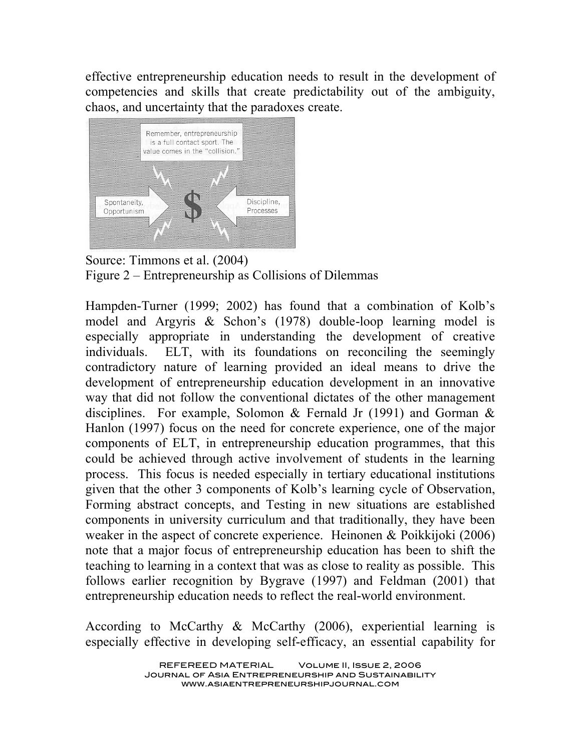effective entrepreneurship education needs to result in the development of competencies and skills that create predictability out of the ambiguity, chaos, and uncertainty that the paradoxes create.



Source: Timmons et al. (2004) Figure 2 – Entrepreneurship as Collisions of Dilemmas

Hampden-Turner (1999; 2002) has found that a combination of Kolb's model and Argyris & Schon's (1978) double-loop learning model is especially appropriate in understanding the development of creative individuals. ELT, with its foundations on reconciling the seemingly contradictory nature of learning provided an ideal means to drive the development of entrepreneurship education development in an innovative way that did not follow the conventional dictates of the other management disciplines. For example, Solomon & Fernald Jr (1991) and Gorman & Hanlon (1997) focus on the need for concrete experience, one of the major components of ELT, in entrepreneurship education programmes, that this could be achieved through active involvement of students in the learning process. This focus is needed especially in tertiary educational institutions given that the other 3 components of Kolb's learning cycle of Observation, Forming abstract concepts, and Testing in new situations are established components in university curriculum and that traditionally, they have been weaker in the aspect of concrete experience. Heinonen & Poikkijoki (2006) note that a major focus of entrepreneurship education has been to shift the teaching to learning in a context that was as close to reality as possible. This follows earlier recognition by Bygrave (1997) and Feldman (2001) that entrepreneurship education needs to reflect the real-world environment.

According to McCarthy & McCarthy (2006), experiential learning is especially effective in developing self-efficacy, an essential capability for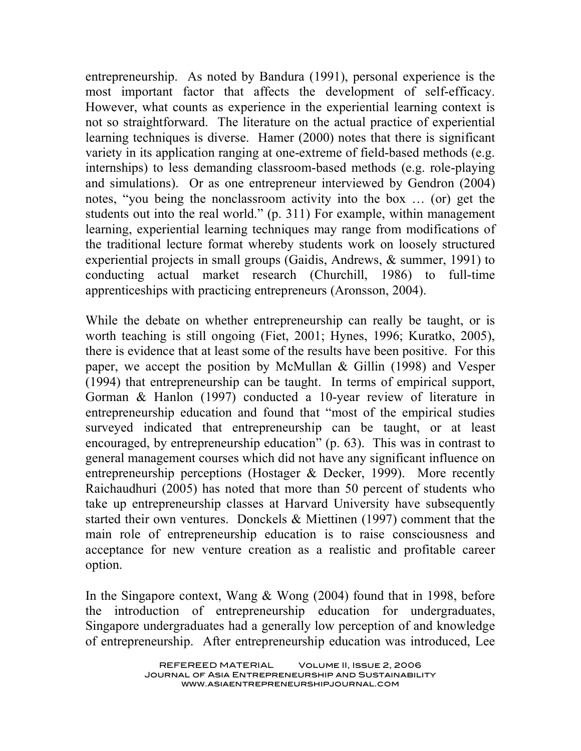entrepreneurship. As noted by Bandura (1991), personal experience is the most important factor that affects the development of self-efficacy. However, what counts as experience in the experiential learning context is not so straightforward. The literature on the actual practice of experiential learning techniques is diverse. Hamer (2000) notes that there is significant variety in its application ranging at one-extreme of field-based methods (e.g. internships) to less demanding classroom-based methods (e.g. role-playing and simulations). Or as one entrepreneur interviewed by Gendron (2004) notes, "you being the nonclassroom activity into the box … (or) get the students out into the real world." (p. 311) For example, within management learning, experiential learning techniques may range from modifications of the traditional lecture format whereby students work on loosely structured experiential projects in small groups (Gaidis, Andrews, & summer, 1991) to conducting actual market research (Churchill, 1986) to full-time apprenticeships with practicing entrepreneurs (Aronsson, 2004).

While the debate on whether entrepreneurship can really be taught, or is worth teaching is still ongoing (Fiet, 2001; Hynes, 1996; Kuratko, 2005), there is evidence that at least some of the results have been positive. For this paper, we accept the position by McMullan & Gillin (1998) and Vesper (1994) that entrepreneurship can be taught. In terms of empirical support, Gorman & Hanlon (1997) conducted a 10-year review of literature in entrepreneurship education and found that "most of the empirical studies surveyed indicated that entrepreneurship can be taught, or at least encouraged, by entrepreneurship education" (p. 63). This was in contrast to general management courses which did not have any significant influence on entrepreneurship perceptions (Hostager & Decker, 1999). More recently Raichaudhuri (2005) has noted that more than 50 percent of students who take up entrepreneurship classes at Harvard University have subsequently started their own ventures. Donckels & Miettinen (1997) comment that the main role of entrepreneurship education is to raise consciousness and acceptance for new venture creation as a realistic and profitable career option.

In the Singapore context, Wang & Wong (2004) found that in 1998, before the introduction of entrepreneurship education for undergraduates, Singapore undergraduates had a generally low perception of and knowledge of entrepreneurship. After entrepreneurship education was introduced, Lee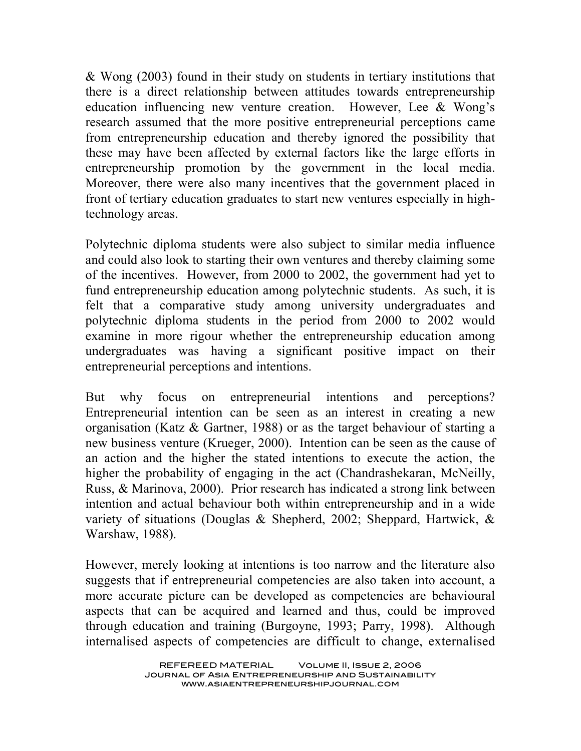& Wong (2003) found in their study on students in tertiary institutions that there is a direct relationship between attitudes towards entrepreneurship education influencing new venture creation. However, Lee & Wong's research assumed that the more positive entrepreneurial perceptions came from entrepreneurship education and thereby ignored the possibility that these may have been affected by external factors like the large efforts in entrepreneurship promotion by the government in the local media. Moreover, there were also many incentives that the government placed in front of tertiary education graduates to start new ventures especially in hightechnology areas.

Polytechnic diploma students were also subject to similar media influence and could also look to starting their own ventures and thereby claiming some of the incentives. However, from 2000 to 2002, the government had yet to fund entrepreneurship education among polytechnic students. As such, it is felt that a comparative study among university undergraduates and polytechnic diploma students in the period from 2000 to 2002 would examine in more rigour whether the entrepreneurship education among undergraduates was having a significant positive impact on their entrepreneurial perceptions and intentions.

But why focus on entrepreneurial intentions and perceptions? Entrepreneurial intention can be seen as an interest in creating a new organisation (Katz & Gartner, 1988) or as the target behaviour of starting a new business venture (Krueger, 2000). Intention can be seen as the cause of an action and the higher the stated intentions to execute the action, the higher the probability of engaging in the act (Chandrashekaran, McNeilly, Russ, & Marinova, 2000). Prior research has indicated a strong link between intention and actual behaviour both within entrepreneurship and in a wide variety of situations (Douglas & Shepherd, 2002; Sheppard, Hartwick, & Warshaw, 1988).

However, merely looking at intentions is too narrow and the literature also suggests that if entrepreneurial competencies are also taken into account, a more accurate picture can be developed as competencies are behavioural aspects that can be acquired and learned and thus, could be improved through education and training (Burgoyne, 1993; Parry, 1998). Although internalised aspects of competencies are difficult to change, externalised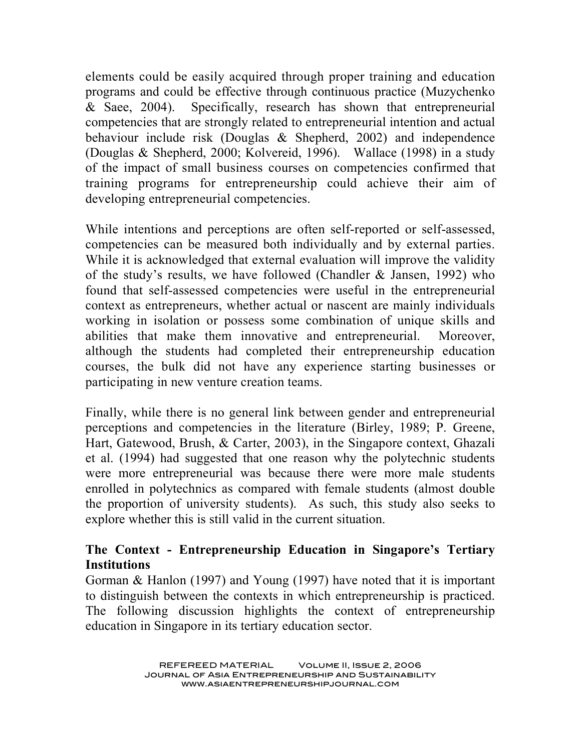elements could be easily acquired through proper training and education programs and could be effective through continuous practice (Muzychenko & Saee, 2004). Specifically, research has shown that entrepreneurial competencies that are strongly related to entrepreneurial intention and actual behaviour include risk (Douglas & Shepherd, 2002) and independence (Douglas & Shepherd, 2000; Kolvereid, 1996). Wallace (1998) in a study of the impact of small business courses on competencies confirmed that training programs for entrepreneurship could achieve their aim of developing entrepreneurial competencies.

While intentions and perceptions are often self-reported or self-assessed, competencies can be measured both individually and by external parties. While it is acknowledged that external evaluation will improve the validity of the study's results, we have followed (Chandler  $&$  Jansen, 1992) who found that self-assessed competencies were useful in the entrepreneurial context as entrepreneurs, whether actual or nascent are mainly individuals working in isolation or possess some combination of unique skills and abilities that make them innovative and entrepreneurial. Moreover, although the students had completed their entrepreneurship education courses, the bulk did not have any experience starting businesses or participating in new venture creation teams.

Finally, while there is no general link between gender and entrepreneurial perceptions and competencies in the literature (Birley, 1989; P. Greene, Hart, Gatewood, Brush, & Carter, 2003), in the Singapore context, Ghazali et al. (1994) had suggested that one reason why the polytechnic students were more entrepreneurial was because there were more male students enrolled in polytechnics as compared with female students (almost double the proportion of university students). As such, this study also seeks to explore whether this is still valid in the current situation.

# **The Context - Entrepreneurship Education in Singapore's Tertiary Institutions**

Gorman & Hanlon (1997) and Young (1997) have noted that it is important to distinguish between the contexts in which entrepreneurship is practiced. The following discussion highlights the context of entrepreneurship education in Singapore in its tertiary education sector.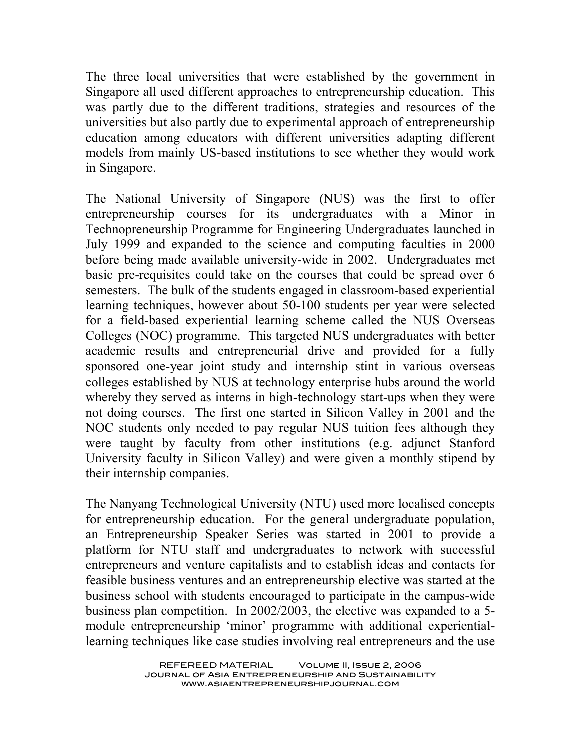The three local universities that were established by the government in Singapore all used different approaches to entrepreneurship education. This was partly due to the different traditions, strategies and resources of the universities but also partly due to experimental approach of entrepreneurship education among educators with different universities adapting different models from mainly US-based institutions to see whether they would work in Singapore.

The National University of Singapore (NUS) was the first to offer entrepreneurship courses for its undergraduates with a Minor in Technopreneurship Programme for Engineering Undergraduates launched in July 1999 and expanded to the science and computing faculties in 2000 before being made available university-wide in 2002. Undergraduates met basic pre-requisites could take on the courses that could be spread over 6 semesters. The bulk of the students engaged in classroom-based experiential learning techniques, however about 50-100 students per year were selected for a field-based experiential learning scheme called the NUS Overseas Colleges (NOC) programme. This targeted NUS undergraduates with better academic results and entrepreneurial drive and provided for a fully sponsored one-year joint study and internship stint in various overseas colleges established by NUS at technology enterprise hubs around the world whereby they served as interns in high-technology start-ups when they were not doing courses. The first one started in Silicon Valley in 2001 and the NOC students only needed to pay regular NUS tuition fees although they were taught by faculty from other institutions (e.g. adjunct Stanford University faculty in Silicon Valley) and were given a monthly stipend by their internship companies.

The Nanyang Technological University (NTU) used more localised concepts for entrepreneurship education. For the general undergraduate population, an Entrepreneurship Speaker Series was started in 2001 to provide a platform for NTU staff and undergraduates to network with successful entrepreneurs and venture capitalists and to establish ideas and contacts for feasible business ventures and an entrepreneurship elective was started at the business school with students encouraged to participate in the campus-wide business plan competition. In 2002/2003, the elective was expanded to a 5 module entrepreneurship 'minor' programme with additional experientiallearning techniques like case studies involving real entrepreneurs and the use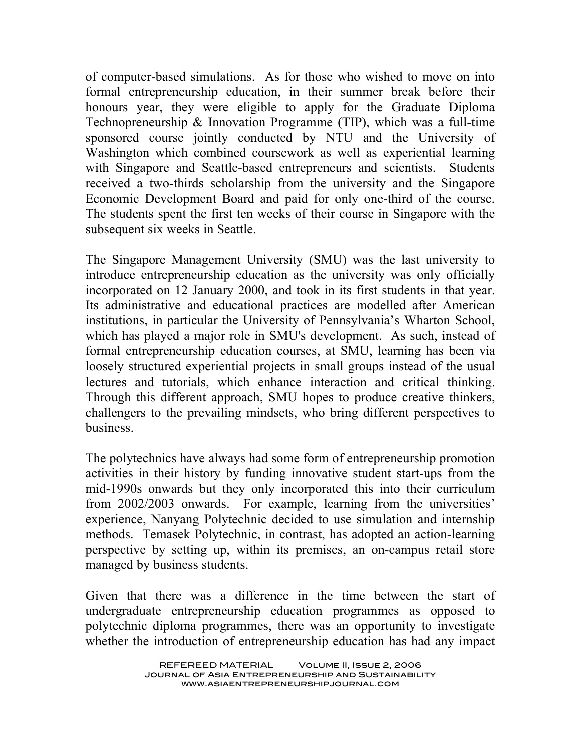of computer-based simulations. As for those who wished to move on into formal entrepreneurship education, in their summer break before their honours year, they were eligible to apply for the Graduate Diploma Technopreneurship & Innovation Programme (TIP), which was a full-time sponsored course jointly conducted by NTU and the University of Washington which combined coursework as well as experiential learning with Singapore and Seattle-based entrepreneurs and scientists. Students received a two-thirds scholarship from the university and the Singapore Economic Development Board and paid for only one-third of the course. The students spent the first ten weeks of their course in Singapore with the subsequent six weeks in Seattle.

The Singapore Management University (SMU) was the last university to introduce entrepreneurship education as the university was only officially incorporated on 12 January 2000, and took in its first students in that year. Its administrative and educational practices are modelled after American institutions, in particular the University of Pennsylvania's Wharton School, which has played a major role in SMU's development. As such, instead of formal entrepreneurship education courses, at SMU, learning has been via loosely structured experiential projects in small groups instead of the usual lectures and tutorials, which enhance interaction and critical thinking. Through this different approach, SMU hopes to produce creative thinkers, challengers to the prevailing mindsets, who bring different perspectives to business.

The polytechnics have always had some form of entrepreneurship promotion activities in their history by funding innovative student start-ups from the mid-1990s onwards but they only incorporated this into their curriculum from 2002/2003 onwards. For example, learning from the universities' experience, Nanyang Polytechnic decided to use simulation and internship methods. Temasek Polytechnic, in contrast, has adopted an action-learning perspective by setting up, within its premises, an on-campus retail store managed by business students.

Given that there was a difference in the time between the start of undergraduate entrepreneurship education programmes as opposed to polytechnic diploma programmes, there was an opportunity to investigate whether the introduction of entrepreneurship education has had any impact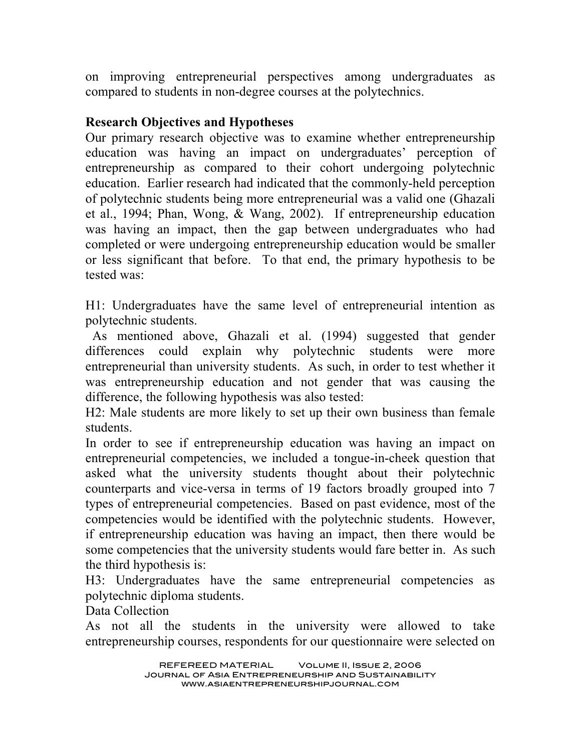on improving entrepreneurial perspectives among undergraduates as compared to students in non-degree courses at the polytechnics.

### **Research Objectives and Hypotheses**

Our primary research objective was to examine whether entrepreneurship education was having an impact on undergraduates' perception of entrepreneurship as compared to their cohort undergoing polytechnic education. Earlier research had indicated that the commonly-held perception of polytechnic students being more entrepreneurial was a valid one (Ghazali et al., 1994; Phan, Wong, & Wang, 2002). If entrepreneurship education was having an impact, then the gap between undergraduates who had completed or were undergoing entrepreneurship education would be smaller or less significant that before. To that end, the primary hypothesis to be tested was:

H1: Undergraduates have the same level of entrepreneurial intention as polytechnic students.

As mentioned above, Ghazali et al. (1994) suggested that gender differences could explain why polytechnic students were more entrepreneurial than university students. As such, in order to test whether it was entrepreneurship education and not gender that was causing the difference, the following hypothesis was also tested:

H2: Male students are more likely to set up their own business than female students.

In order to see if entrepreneurship education was having an impact on entrepreneurial competencies, we included a tongue-in-cheek question that asked what the university students thought about their polytechnic counterparts and vice-versa in terms of 19 factors broadly grouped into 7 types of entrepreneurial competencies. Based on past evidence, most of the competencies would be identified with the polytechnic students. However, if entrepreneurship education was having an impact, then there would be some competencies that the university students would fare better in. As such the third hypothesis is:

H3: Undergraduates have the same entrepreneurial competencies as polytechnic diploma students.

Data Collection

As not all the students in the university were allowed to take entrepreneurship courses, respondents for our questionnaire were selected on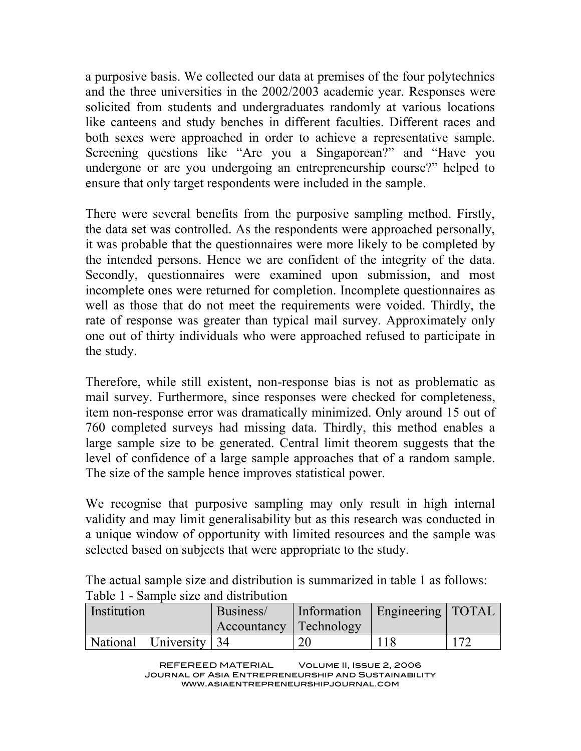a purposive basis. We collected our data at premises of the four polytechnics and the three universities in the 2002/2003 academic year. Responses were solicited from students and undergraduates randomly at various locations like canteens and study benches in different faculties. Different races and both sexes were approached in order to achieve a representative sample. Screening questions like "Are you a Singaporean?" and "Have you undergone or are you undergoing an entrepreneurship course?" helped to ensure that only target respondents were included in the sample.

There were several benefits from the purposive sampling method. Firstly, the data set was controlled. As the respondents were approached personally, it was probable that the questionnaires were more likely to be completed by the intended persons. Hence we are confident of the integrity of the data. Secondly, questionnaires were examined upon submission, and most incomplete ones were returned for completion. Incomplete questionnaires as well as those that do not meet the requirements were voided. Thirdly, the rate of response was greater than typical mail survey. Approximately only one out of thirty individuals who were approached refused to participate in the study.

Therefore, while still existent, non-response bias is not as problematic as mail survey. Furthermore, since responses were checked for completeness, item non-response error was dramatically minimized. Only around 15 out of 760 completed surveys had missing data. Thirdly, this method enables a large sample size to be generated. Central limit theorem suggests that the level of confidence of a large sample approaches that of a random sample. The size of the sample hence improves statistical power.

We recognise that purposive sampling may only result in high internal validity and may limit generalisability but as this research was conducted in a unique window of opportunity with limited resources and the sample was selected based on subjects that were appropriate to the study.

The actual sample size and distribution is summarized in table 1 as follows: Table 1 - Sample size and distribution

| Institution            | Business/ |                        | Information   Engineering   TOTAL |              |
|------------------------|-----------|------------------------|-----------------------------------|--------------|
|                        |           | Accountancy Technology |                                   |              |
| National University 34 |           | 20                     |                                   | $17^{\circ}$ |

REFEREED MATERIAL Volume II, Issue 2, 2006 Journal of Asia Entrepreneurship and Sustainability www.asiaentrepreneurshipjournal.com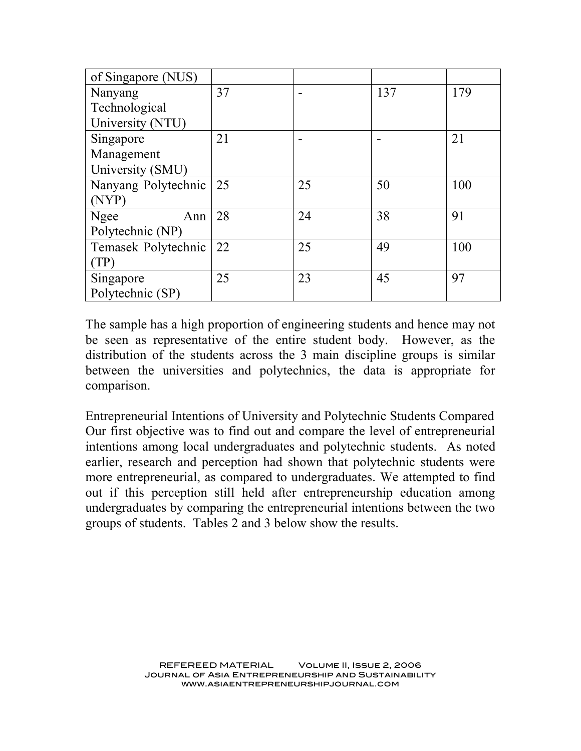| of Singapore (NUS)  |    |    |     |     |
|---------------------|----|----|-----|-----|
| Nanyang             | 37 |    | 137 | 179 |
| Technological       |    |    |     |     |
| University (NTU)    |    |    |     |     |
| Singapore           | 21 |    |     | 21  |
| Management          |    |    |     |     |
| University (SMU)    |    |    |     |     |
| Nanyang Polytechnic | 25 | 25 | 50  | 100 |
| (NYP)               |    |    |     |     |
| Ngee<br>Ann         | 28 | 24 | 38  | 91  |
| Polytechnic (NP)    |    |    |     |     |
| Temasek Polytechnic | 22 | 25 | 49  | 100 |
| (TP)                |    |    |     |     |
| Singapore           | 25 | 23 | 45  | 97  |
| Polytechnic (SP)    |    |    |     |     |

The sample has a high proportion of engineering students and hence may not be seen as representative of the entire student body. However, as the distribution of the students across the 3 main discipline groups is similar between the universities and polytechnics, the data is appropriate for comparison.

Entrepreneurial Intentions of University and Polytechnic Students Compared Our first objective was to find out and compare the level of entrepreneurial intentions among local undergraduates and polytechnic students. As noted earlier, research and perception had shown that polytechnic students were more entrepreneurial, as compared to undergraduates. We attempted to find out if this perception still held after entrepreneurship education among undergraduates by comparing the entrepreneurial intentions between the two groups of students. Tables 2 and 3 below show the results.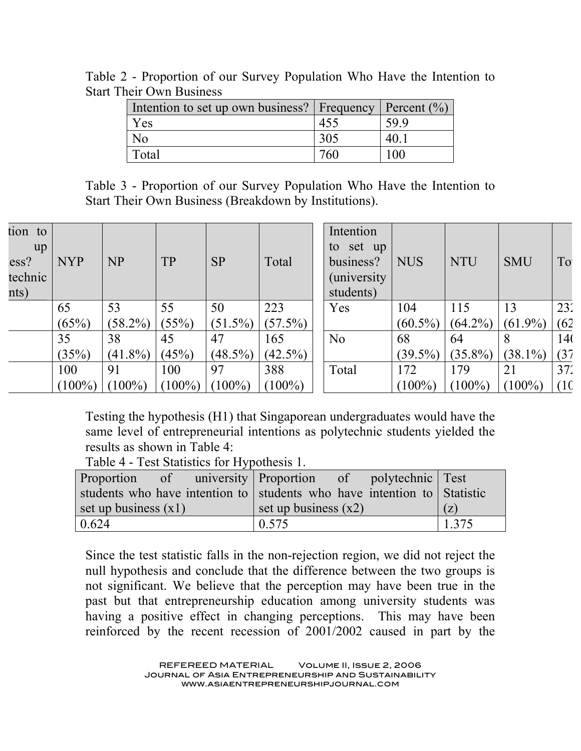| Intention to set up own business?   Frequency   Percent (%) |     |     |
|-------------------------------------------------------------|-----|-----|
| Yes                                                         |     | 599 |
| N <sub>0</sub>                                              | 305 | 40. |
| Total                                                       | 760 |     |

Table 2 - Proportion of our Survey Population Who Have the Intention to Start Their Own Business

Table 3 - Proportion of our Survey Population Who Have the Intention to Start Their Own Business (Breakdown by Institutions).

| tion to |            |            |           |            |            | Intention           |            |            |            |      |
|---------|------------|------------|-----------|------------|------------|---------------------|------------|------------|------------|------|
| up      |            |            |           |            |            | set up<br>to        |            |            |            |      |
| ess?    | <b>NYP</b> | <b>NP</b>  | <b>TP</b> | <b>SP</b>  | Total      | business?           | <b>NUS</b> | <b>NTU</b> | <b>SMU</b> | To   |
| technic |            |            |           |            |            | <i>(university)</i> |            |            |            |      |
| nts)    |            |            |           |            |            | students)           |            |            |            |      |
|         | 65         | 53         | 55        | 50         | 223        | Yes                 | 104        | 115        | 13         | 23'  |
|         |            |            |           |            |            |                     |            |            |            |      |
|         | (65%)      | $(58.2\%)$ | (55%)     | $(51.5\%)$ | $(57.5\%)$ |                     | $(60.5\%)$ | $(64.2\%)$ | $(61.9\%)$ | (62) |
|         | 35         | 38         | 45        | 47         | 165        | No                  | 68         | 64         | 8          | 14(  |
|         | (35%)      | $(41.8\%)$ | (45%)     | $(48.5\%)$ | $(42.5\%)$ |                     | $(39.5\%)$ | $(35.8\%)$ | $(38.1\%)$ | (37) |
|         | 100        | 91         | 100       | 97         | 388        | Total               | 172        | 179        | 21         | 37'  |
|         | $(100\%)$  | $(100\%)$  | $(100\%)$ | $(100\%)$  | $(100\%)$  |                     | $(100\%)$  | $(100\%)$  | $(100\%)$  | (10  |

Testing the hypothesis (H1) that Singaporean undergraduates would have the same level of entrepreneurial intentions as polytechnic students yielded the results as shown in Table 4:

Table 4 - Test Statistics for Hypothesis 1.

| Proportion of university Proportion of polytechnic Test                 |                        |  |       |
|-------------------------------------------------------------------------|------------------------|--|-------|
| students who have intention to students who have intention to Statistic |                        |  |       |
| set up business $(x1)$                                                  | set up business $(x2)$ |  | (z)   |
| 0.624                                                                   | 0.575                  |  | 1.375 |

Since the test statistic falls in the non-rejection region, we did not reject the null hypothesis and conclude that the difference between the two groups is not significant. We believe that the perception may have been true in the past but that entrepreneurship education among university students was having a positive effect in changing perceptions. This may have been reinforced by the recent recession of 2001/2002 caused in part by the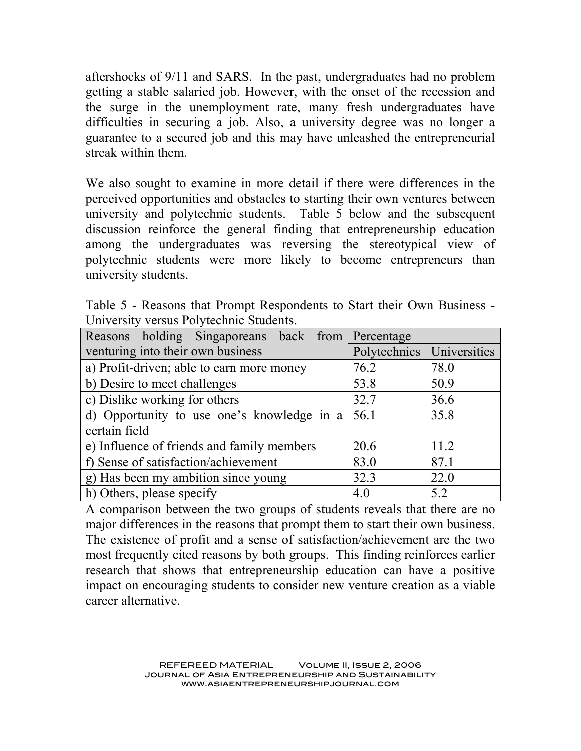aftershocks of 9/11 and SARS. In the past, undergraduates had no problem getting a stable salaried job. However, with the onset of the recession and the surge in the unemployment rate, many fresh undergraduates have difficulties in securing a job. Also, a university degree was no longer a guarantee to a secured job and this may have unleashed the entrepreneurial streak within them.

We also sought to examine in more detail if there were differences in the perceived opportunities and obstacles to starting their own ventures between university and polytechnic students. Table 5 below and the subsequent discussion reinforce the general finding that entrepreneurship education among the undergraduates was reversing the stereotypical view of polytechnic students were more likely to become entrepreneurs than university students.

|                                         |  | Table 5 - Reasons that Prompt Respondents to Start their Own Business - |  |  |  |
|-----------------------------------------|--|-------------------------------------------------------------------------|--|--|--|
| University versus Polytechnic Students. |  |                                                                         |  |  |  |

| Reasons holding Singaporeans back from     | Percentage                  |      |  |  |  |
|--------------------------------------------|-----------------------------|------|--|--|--|
| venturing into their own business          | Polytechnics   Universities |      |  |  |  |
| a) Profit-driven; able to earn more money  | 76.2                        | 78.0 |  |  |  |
| b) Desire to meet challenges               | 53.8                        | 50.9 |  |  |  |
| c) Dislike working for others              | 32.7                        | 36.6 |  |  |  |
| d) Opportunity to use one's knowledge in a | 56.1                        | 35.8 |  |  |  |
| certain field                              |                             |      |  |  |  |
| e) Influence of friends and family members | 20.6                        | 11.2 |  |  |  |
| f) Sense of satisfaction/achievement       | 83.0                        | 87.1 |  |  |  |
| g) Has been my ambition since young        | 32.3                        | 22.0 |  |  |  |
| h) Others, please specify                  | 4.0                         | 5.2  |  |  |  |

A comparison between the two groups of students reveals that there are no major differences in the reasons that prompt them to start their own business. The existence of profit and a sense of satisfaction/achievement are the two most frequently cited reasons by both groups. This finding reinforces earlier research that shows that entrepreneurship education can have a positive impact on encouraging students to consider new venture creation as a viable career alternative.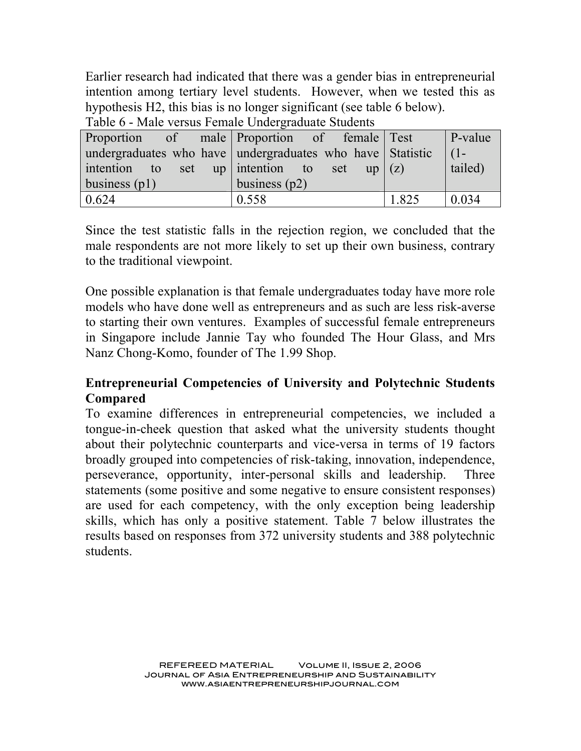Earlier research had indicated that there was a gender bias in entrepreneurial intention among tertiary level students. However, when we tested this as hypothesis H2, this bias is no longer significant (see table 6 below).

| Proportion of male Proportion of female Test              |                 |  |       | $\vert$ P-value |
|-----------------------------------------------------------|-----------------|--|-------|-----------------|
| undergraduates who have undergraduates who have Statistic |                 |  |       | $\mid$ (1-      |
| intention to set up intention to set up $(z)$             |                 |  |       | tailed)         |
| business $(p1)$                                           | business $(p2)$ |  |       |                 |
| 0.624                                                     | 0.558           |  | 1.825 | 0.034           |

Table 6 - Male versus Female Undergraduate Students

Since the test statistic falls in the rejection region, we concluded that the male respondents are not more likely to set up their own business, contrary to the traditional viewpoint.

One possible explanation is that female undergraduates today have more role models who have done well as entrepreneurs and as such are less risk-averse to starting their own ventures. Examples of successful female entrepreneurs in Singapore include Jannie Tay who founded The Hour Glass, and Mrs Nanz Chong-Komo, founder of The 1.99 Shop.

# **Entrepreneurial Competencies of University and Polytechnic Students Compared**

To examine differences in entrepreneurial competencies, we included a tongue-in-cheek question that asked what the university students thought about their polytechnic counterparts and vice-versa in terms of 19 factors broadly grouped into competencies of risk-taking, innovation, independence, perseverance, opportunity, inter-personal skills and leadership. Three statements (some positive and some negative to ensure consistent responses) are used for each competency, with the only exception being leadership skills, which has only a positive statement. Table 7 below illustrates the results based on responses from 372 university students and 388 polytechnic students.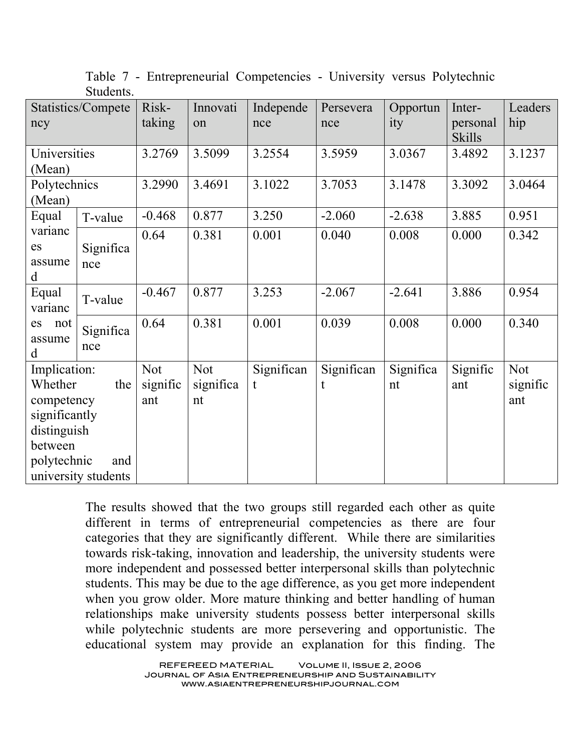|                  | Statistics/Compete  | Risk-      | Innovati   | Independe  | Persevera  | Opportun  | Inter-                    | Leaders    |
|------------------|---------------------|------------|------------|------------|------------|-----------|---------------------------|------------|
| ncy              |                     | taking     | on         | nce        | nce        | ity       | personal<br><b>Skills</b> | hip        |
| Universities     |                     | 3.2769     | 3.5099     | 3.2554     | 3.5959     | 3.0367    | 3.4892                    | 3.1237     |
| (Mean)           |                     |            |            |            |            |           |                           |            |
| Polytechnics     |                     | 3.2990     | 3.4691     | 3.1022     | 3.7053     | 3.1478    | 3.3092                    | 3.0464     |
| (Mean)           |                     |            |            |            |            |           |                           |            |
| Equal            | T-value             | $-0.468$   | 0.877      | 3.250      | $-2.060$   | $-2.638$  | 3.885                     | 0.951      |
| varianc          |                     | 0.64       | 0.381      | 0.001      | 0.040      | 0.008     | 0.000                     | 0.342      |
| es               | Significa           |            |            |            |            |           |                           |            |
| assume           | nce                 |            |            |            |            |           |                           |            |
| d                |                     |            |            |            |            |           |                           |            |
| Equal<br>varianc | T-value             | $-0.467$   | 0.877      | 3.253      | $-2.067$   | $-2.641$  | 3.886                     | 0.954      |
| es<br>not        | Significa           | 0.64       | 0.381      | 0.001      | 0.039      | 0.008     | 0.000                     | 0.340      |
| assume           | nce                 |            |            |            |            |           |                           |            |
| d                |                     |            |            |            |            |           |                           |            |
| Implication:     |                     | <b>Not</b> | <b>Not</b> | Significan | Significan | Significa | Signific                  | <b>Not</b> |
| Whether          | the                 | signific   | significa  | t          | t          | nt        | ant                       | signific   |
| competency       |                     | ant        | nt         |            |            |           |                           | ant        |
| significantly    |                     |            |            |            |            |           |                           |            |
| distinguish      |                     |            |            |            |            |           |                           |            |
| between          |                     |            |            |            |            |           |                           |            |
| polytechnic      | and                 |            |            |            |            |           |                           |            |
|                  | university students |            |            |            |            |           |                           |            |

Table 7 - Entrepreneurial Competencies - University versus Polytechnic Students.

The results showed that the two groups still regarded each other as quite different in terms of entrepreneurial competencies as there are four categories that they are significantly different. While there are similarities towards risk-taking, innovation and leadership, the university students were more independent and possessed better interpersonal skills than polytechnic students. This may be due to the age difference, as you get more independent when you grow older. More mature thinking and better handling of human relationships make university students possess better interpersonal skills while polytechnic students are more persevering and opportunistic. The educational system may provide an explanation for this finding. The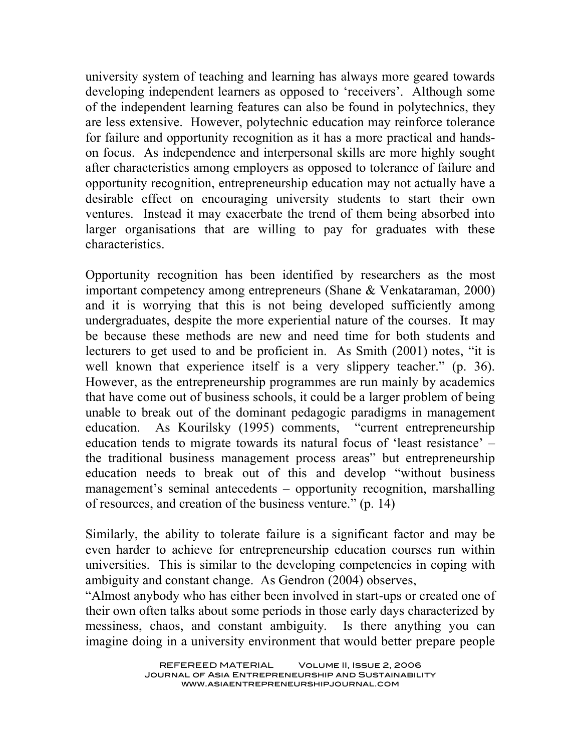university system of teaching and learning has always more geared towards developing independent learners as opposed to 'receivers'. Although some of the independent learning features can also be found in polytechnics, they are less extensive. However, polytechnic education may reinforce tolerance for failure and opportunity recognition as it has a more practical and handson focus. As independence and interpersonal skills are more highly sought after characteristics among employers as opposed to tolerance of failure and opportunity recognition, entrepreneurship education may not actually have a desirable effect on encouraging university students to start their own ventures. Instead it may exacerbate the trend of them being absorbed into larger organisations that are willing to pay for graduates with these characteristics.

Opportunity recognition has been identified by researchers as the most important competency among entrepreneurs (Shane & Venkataraman, 2000) and it is worrying that this is not being developed sufficiently among undergraduates, despite the more experiential nature of the courses. It may be because these methods are new and need time for both students and lecturers to get used to and be proficient in. As Smith (2001) notes, "it is well known that experience itself is a very slippery teacher." (p. 36). However, as the entrepreneurship programmes are run mainly by academics that have come out of business schools, it could be a larger problem of being unable to break out of the dominant pedagogic paradigms in management education. As Kourilsky (1995) comments, "current entrepreneurship education tends to migrate towards its natural focus of 'least resistance' – the traditional business management process areas" but entrepreneurship education needs to break out of this and develop "without business management's seminal antecedents – opportunity recognition, marshalling of resources, and creation of the business venture." (p. 14)

Similarly, the ability to tolerate failure is a significant factor and may be even harder to achieve for entrepreneurship education courses run within universities. This is similar to the developing competencies in coping with ambiguity and constant change. As Gendron (2004) observes,

"Almost anybody who has either been involved in start-ups or created one of their own often talks about some periods in those early days characterized by messiness, chaos, and constant ambiguity. Is there anything you can imagine doing in a university environment that would better prepare people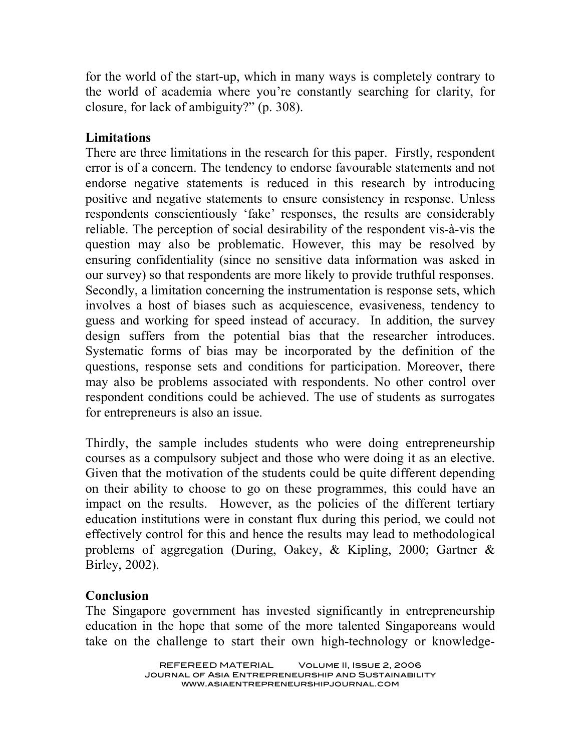for the world of the start-up, which in many ways is completely contrary to the world of academia where you're constantly searching for clarity, for closure, for lack of ambiguity?" (p. 308).

#### **Limitations**

There are three limitations in the research for this paper. Firstly, respondent error is of a concern. The tendency to endorse favourable statements and not endorse negative statements is reduced in this research by introducing positive and negative statements to ensure consistency in response. Unless respondents conscientiously 'fake' responses, the results are considerably reliable. The perception of social desirability of the respondent vis-à-vis the question may also be problematic. However, this may be resolved by ensuring confidentiality (since no sensitive data information was asked in our survey) so that respondents are more likely to provide truthful responses. Secondly, a limitation concerning the instrumentation is response sets, which involves a host of biases such as acquiescence, evasiveness, tendency to guess and working for speed instead of accuracy. In addition, the survey design suffers from the potential bias that the researcher introduces. Systematic forms of bias may be incorporated by the definition of the questions, response sets and conditions for participation. Moreover, there may also be problems associated with respondents. No other control over respondent conditions could be achieved. The use of students as surrogates for entrepreneurs is also an issue.

Thirdly, the sample includes students who were doing entrepreneurship courses as a compulsory subject and those who were doing it as an elective. Given that the motivation of the students could be quite different depending on their ability to choose to go on these programmes, this could have an impact on the results. However, as the policies of the different tertiary education institutions were in constant flux during this period, we could not effectively control for this and hence the results may lead to methodological problems of aggregation (During, Oakey, & Kipling, 2000; Gartner & Birley, 2002).

## **Conclusion**

The Singapore government has invested significantly in entrepreneurship education in the hope that some of the more talented Singaporeans would take on the challenge to start their own high-technology or knowledge-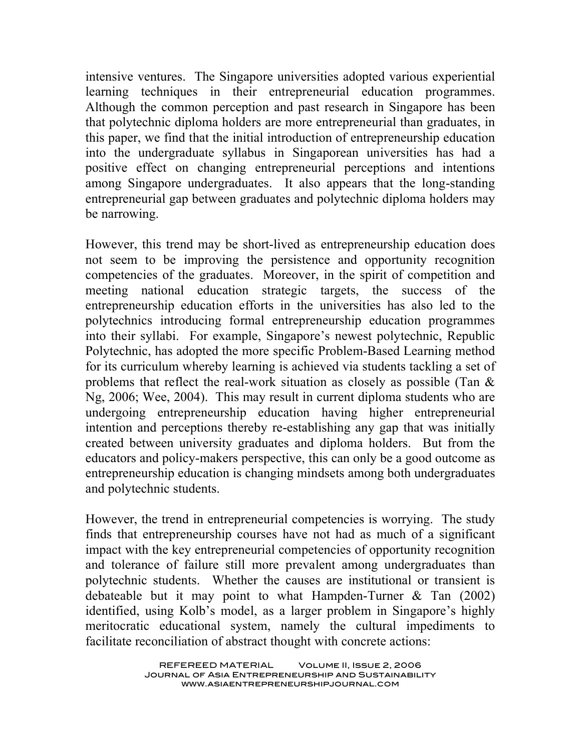intensive ventures. The Singapore universities adopted various experiential learning techniques in their entrepreneurial education programmes. Although the common perception and past research in Singapore has been that polytechnic diploma holders are more entrepreneurial than graduates, in this paper, we find that the initial introduction of entrepreneurship education into the undergraduate syllabus in Singaporean universities has had a positive effect on changing entrepreneurial perceptions and intentions among Singapore undergraduates. It also appears that the long-standing entrepreneurial gap between graduates and polytechnic diploma holders may be narrowing.

However, this trend may be short-lived as entrepreneurship education does not seem to be improving the persistence and opportunity recognition competencies of the graduates. Moreover, in the spirit of competition and meeting national education strategic targets, the success of the entrepreneurship education efforts in the universities has also led to the polytechnics introducing formal entrepreneurship education programmes into their syllabi. For example, Singapore's newest polytechnic, Republic Polytechnic, has adopted the more specific Problem-Based Learning method for its curriculum whereby learning is achieved via students tackling a set of problems that reflect the real-work situation as closely as possible (Tan & Ng, 2006; Wee, 2004). This may result in current diploma students who are undergoing entrepreneurship education having higher entrepreneurial intention and perceptions thereby re-establishing any gap that was initially created between university graduates and diploma holders. But from the educators and policy-makers perspective, this can only be a good outcome as entrepreneurship education is changing mindsets among both undergraduates and polytechnic students.

However, the trend in entrepreneurial competencies is worrying. The study finds that entrepreneurship courses have not had as much of a significant impact with the key entrepreneurial competencies of opportunity recognition and tolerance of failure still more prevalent among undergraduates than polytechnic students. Whether the causes are institutional or transient is debateable but it may point to what Hampden-Turner & Tan (2002) identified, using Kolb's model, as a larger problem in Singapore's highly meritocratic educational system, namely the cultural impediments to facilitate reconciliation of abstract thought with concrete actions: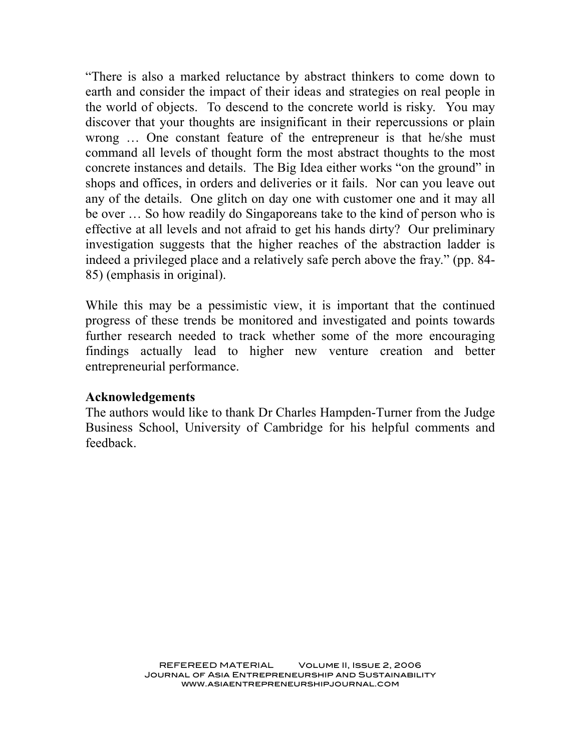"There is also a marked reluctance by abstract thinkers to come down to earth and consider the impact of their ideas and strategies on real people in the world of objects. To descend to the concrete world is risky. You may discover that your thoughts are insignificant in their repercussions or plain wrong … One constant feature of the entrepreneur is that he/she must command all levels of thought form the most abstract thoughts to the most concrete instances and details. The Big Idea either works "on the ground" in shops and offices, in orders and deliveries or it fails. Nor can you leave out any of the details. One glitch on day one with customer one and it may all be over … So how readily do Singaporeans take to the kind of person who is effective at all levels and not afraid to get his hands dirty? Our preliminary investigation suggests that the higher reaches of the abstraction ladder is indeed a privileged place and a relatively safe perch above the fray." (pp. 84- 85) (emphasis in original).

While this may be a pessimistic view, it is important that the continued progress of these trends be monitored and investigated and points towards further research needed to track whether some of the more encouraging findings actually lead to higher new venture creation and better entrepreneurial performance.

#### **Acknowledgements**

The authors would like to thank Dr Charles Hampden-Turner from the Judge Business School, University of Cambridge for his helpful comments and feedback.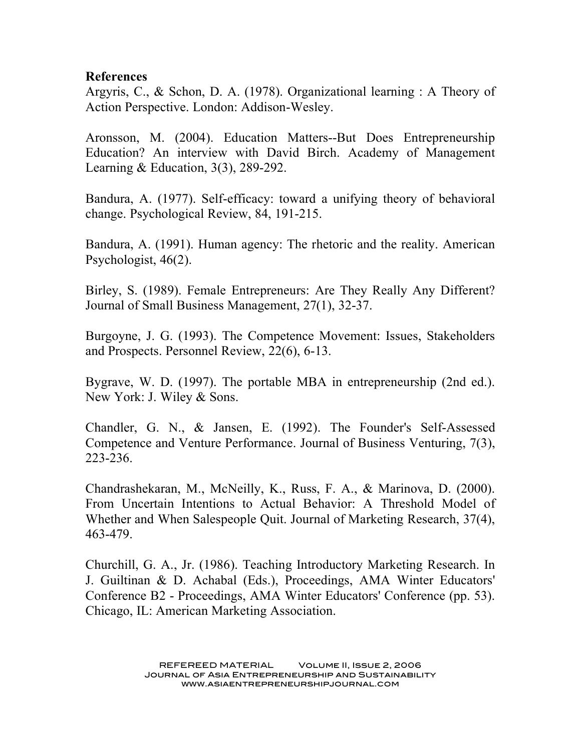#### **References**

Argyris, C., & Schon, D. A. (1978). Organizational learning : A Theory of Action Perspective. London: Addison-Wesley.

Aronsson, M. (2004). Education Matters--But Does Entrepreneurship Education? An interview with David Birch. Academy of Management Learning & Education, 3(3), 289-292.

Bandura, A. (1977). Self-efficacy: toward a unifying theory of behavioral change. Psychological Review, 84, 191-215.

Bandura, A. (1991). Human agency: The rhetoric and the reality. American Psychologist, 46(2).

Birley, S. (1989). Female Entrepreneurs: Are They Really Any Different? Journal of Small Business Management, 27(1), 32-37.

Burgoyne, J. G. (1993). The Competence Movement: Issues, Stakeholders and Prospects. Personnel Review, 22(6), 6-13.

Bygrave, W. D. (1997). The portable MBA in entrepreneurship (2nd ed.). New York: J. Wiley & Sons.

Chandler, G. N., & Jansen, E. (1992). The Founder's Self-Assessed Competence and Venture Performance. Journal of Business Venturing, 7(3), 223-236.

Chandrashekaran, M., McNeilly, K., Russ, F. A., & Marinova, D. (2000). From Uncertain Intentions to Actual Behavior: A Threshold Model of Whether and When Salespeople Quit. Journal of Marketing Research, 37(4), 463-479.

Churchill, G. A., Jr. (1986). Teaching Introductory Marketing Research. In J. Guiltinan & D. Achabal (Eds.), Proceedings, AMA Winter Educators' Conference B2 - Proceedings, AMA Winter Educators' Conference (pp. 53). Chicago, IL: American Marketing Association.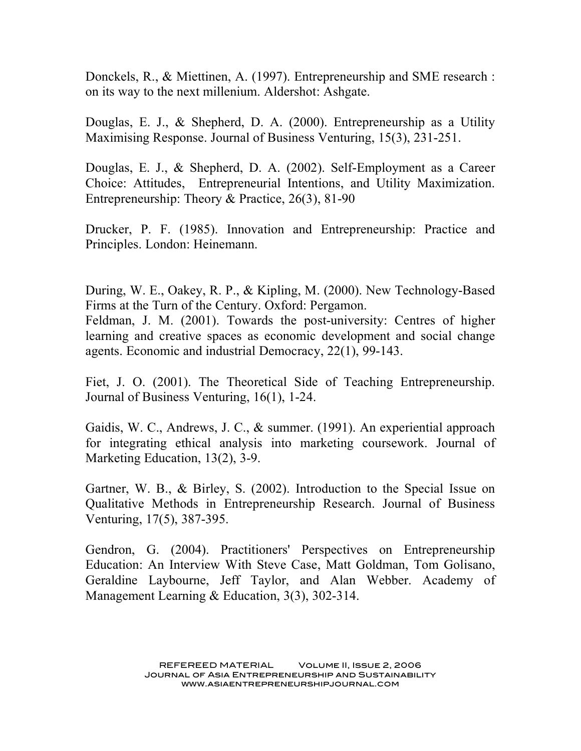Donckels, R., & Miettinen, A. (1997). Entrepreneurship and SME research : on its way to the next millenium. Aldershot: Ashgate.

Douglas, E. J., & Shepherd, D. A. (2000). Entrepreneurship as a Utility Maximising Response. Journal of Business Venturing, 15(3), 231-251.

Douglas, E. J., & Shepherd, D. A. (2002). Self-Employment as a Career Choice: Attitudes, Entrepreneurial Intentions, and Utility Maximization. Entrepreneurship: Theory & Practice, 26(3), 81-90

Drucker, P. F. (1985). Innovation and Entrepreneurship: Practice and Principles. London: Heinemann.

During, W. E., Oakey, R. P., & Kipling, M. (2000). New Technology-Based Firms at the Turn of the Century. Oxford: Pergamon. Feldman, J. M. (2001). Towards the post-university: Centres of higher learning and creative spaces as economic development and social change agents. Economic and industrial Democracy, 22(1), 99-143.

Fiet, J. O. (2001). The Theoretical Side of Teaching Entrepreneurship. Journal of Business Venturing, 16(1), 1-24.

Gaidis, W. C., Andrews, J. C., & summer. (1991). An experiential approach for integrating ethical analysis into marketing coursework. Journal of Marketing Education, 13(2), 3-9.

Gartner, W. B., & Birley, S. (2002). Introduction to the Special Issue on Qualitative Methods in Entrepreneurship Research. Journal of Business Venturing, 17(5), 387-395.

Gendron, G. (2004). Practitioners' Perspectives on Entrepreneurship Education: An Interview With Steve Case, Matt Goldman, Tom Golisano, Geraldine Laybourne, Jeff Taylor, and Alan Webber. Academy of Management Learning & Education, 3(3), 302-314.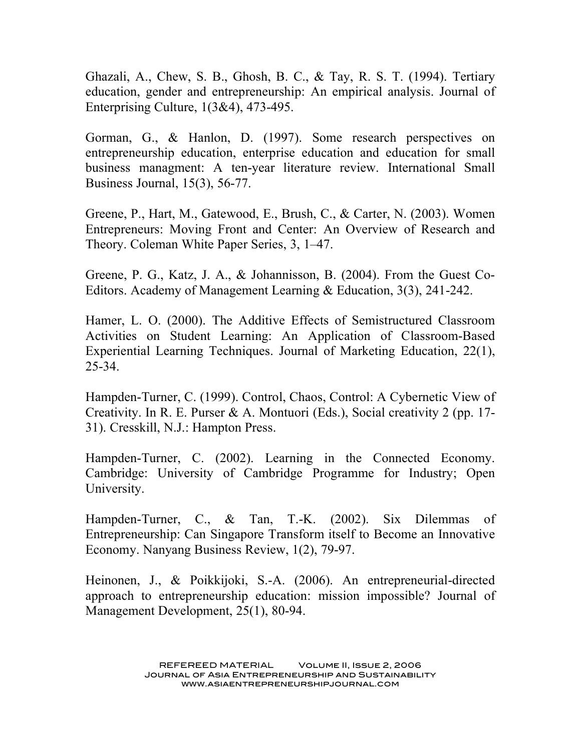Ghazali, A., Chew, S. B., Ghosh, B. C., & Tay, R. S. T. (1994). Tertiary education, gender and entrepreneurship: An empirical analysis. Journal of Enterprising Culture, 1(3&4), 473-495.

Gorman, G., & Hanlon, D. (1997). Some research perspectives on entrepreneurship education, enterprise education and education for small business managment: A ten-year literature review. International Small Business Journal, 15(3), 56-77.

Greene, P., Hart, M., Gatewood, E., Brush, C., & Carter, N. (2003). Women Entrepreneurs: Moving Front and Center: An Overview of Research and Theory. Coleman White Paper Series, 3, 1–47.

Greene, P. G., Katz, J. A., & Johannisson, B. (2004). From the Guest Co-Editors. Academy of Management Learning & Education, 3(3), 241-242.

Hamer, L. O. (2000). The Additive Effects of Semistructured Classroom Activities on Student Learning: An Application of Classroom-Based Experiential Learning Techniques. Journal of Marketing Education, 22(1), 25-34.

Hampden-Turner, C. (1999). Control, Chaos, Control: A Cybernetic View of Creativity. In R. E. Purser & A. Montuori (Eds.), Social creativity 2 (pp. 17- 31). Cresskill, N.J.: Hampton Press.

Hampden-Turner, C. (2002). Learning in the Connected Economy. Cambridge: University of Cambridge Programme for Industry; Open University.

Hampden-Turner, C., & Tan, T.-K. (2002). Six Dilemmas of Entrepreneurship: Can Singapore Transform itself to Become an Innovative Economy. Nanyang Business Review, 1(2), 79-97.

Heinonen, J., & Poikkijoki, S.-A. (2006). An entrepreneurial-directed approach to entrepreneurship education: mission impossible? Journal of Management Development, 25(1), 80-94.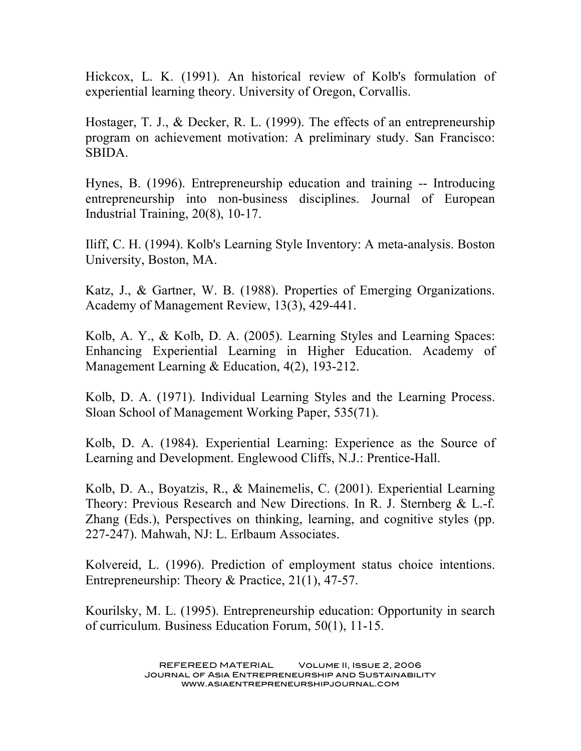Hickcox, L. K. (1991). An historical review of Kolb's formulation of experiential learning theory. University of Oregon, Corvallis.

Hostager, T. J., & Decker, R. L. (1999). The effects of an entrepreneurship program on achievement motivation: A preliminary study. San Francisco: SBIDA.

Hynes, B. (1996). Entrepreneurship education and training -- Introducing entrepreneurship into non-business disciplines. Journal of European Industrial Training, 20(8), 10-17.

Iliff, C. H. (1994). Kolb's Learning Style Inventory: A meta-analysis. Boston University, Boston, MA.

Katz, J., & Gartner, W. B. (1988). Properties of Emerging Organizations. Academy of Management Review, 13(3), 429-441.

Kolb, A. Y., & Kolb, D. A. (2005). Learning Styles and Learning Spaces: Enhancing Experiential Learning in Higher Education. Academy of Management Learning & Education, 4(2), 193-212.

Kolb, D. A. (1971). Individual Learning Styles and the Learning Process. Sloan School of Management Working Paper, 535(71).

Kolb, D. A. (1984). Experiential Learning: Experience as the Source of Learning and Development. Englewood Cliffs, N.J.: Prentice-Hall.

Kolb, D. A., Boyatzis, R., & Mainemelis, C. (2001). Experiential Learning Theory: Previous Research and New Directions. In R. J. Sternberg & L.-f. Zhang (Eds.), Perspectives on thinking, learning, and cognitive styles (pp. 227-247). Mahwah, NJ: L. Erlbaum Associates.

Kolvereid, L. (1996). Prediction of employment status choice intentions. Entrepreneurship: Theory & Practice, 21(1), 47-57.

Kourilsky, M. L. (1995). Entrepreneurship education: Opportunity in search of curriculum. Business Education Forum, 50(1), 11-15.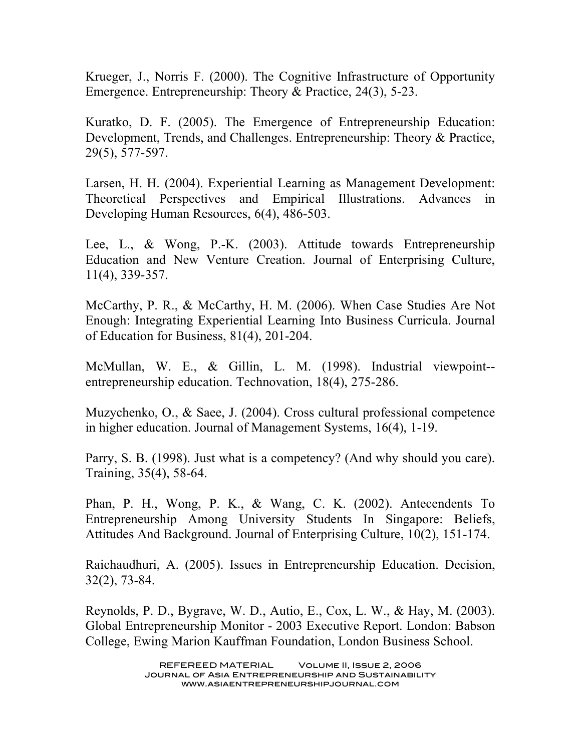Krueger, J., Norris F. (2000). The Cognitive Infrastructure of Opportunity Emergence. Entrepreneurship: Theory & Practice, 24(3), 5-23.

Kuratko, D. F. (2005). The Emergence of Entrepreneurship Education: Development, Trends, and Challenges. Entrepreneurship: Theory & Practice, 29(5), 577-597.

Larsen, H. H. (2004). Experiential Learning as Management Development: Theoretical Perspectives and Empirical Illustrations. Advances in Developing Human Resources, 6(4), 486-503.

Lee, L., & Wong, P.-K. (2003). Attitude towards Entrepreneurship Education and New Venture Creation. Journal of Enterprising Culture, 11(4), 339-357.

McCarthy, P. R., & McCarthy, H. M. (2006). When Case Studies Are Not Enough: Integrating Experiential Learning Into Business Curricula. Journal of Education for Business, 81(4), 201-204.

McMullan, W. E., & Gillin, L. M. (1998). Industrial viewpoint- entrepreneurship education. Technovation, 18(4), 275-286.

Muzychenko, O., & Saee, J. (2004). Cross cultural professional competence in higher education. Journal of Management Systems, 16(4), 1-19.

Parry, S. B. (1998). Just what is a competency? (And why should you care). Training, 35(4), 58-64.

Phan, P. H., Wong, P. K., & Wang, C. K. (2002). Antecendents To Entrepreneurship Among University Students In Singapore: Beliefs, Attitudes And Background. Journal of Enterprising Culture, 10(2), 151-174.

Raichaudhuri, A. (2005). Issues in Entrepreneurship Education. Decision, 32(2), 73-84.

Reynolds, P. D., Bygrave, W. D., Autio, E., Cox, L. W., & Hay, M. (2003). Global Entrepreneurship Monitor - 2003 Executive Report. London: Babson College, Ewing Marion Kauffman Foundation, London Business School.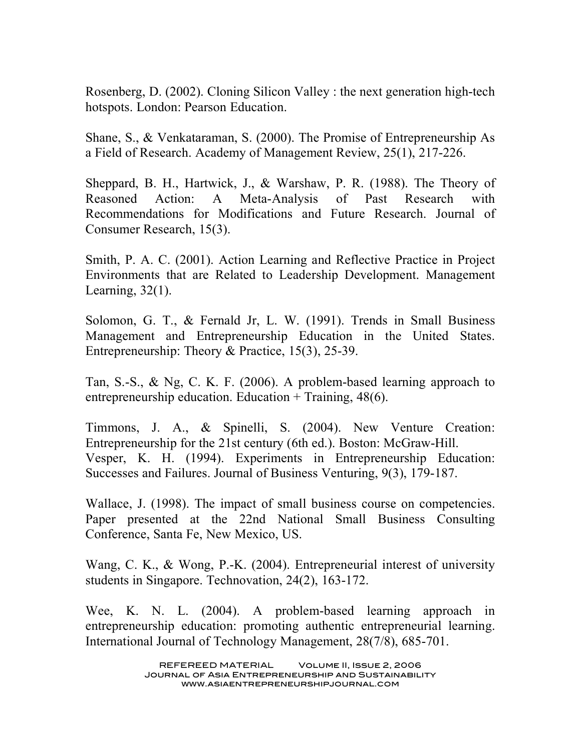Rosenberg, D. (2002). Cloning Silicon Valley : the next generation high-tech hotspots. London: Pearson Education.

Shane, S., & Venkataraman, S. (2000). The Promise of Entrepreneurship As a Field of Research. Academy of Management Review, 25(1), 217-226.

Sheppard, B. H., Hartwick, J., & Warshaw, P. R. (1988). The Theory of Reasoned Action: A Meta-Analysis of Past Research with Recommendations for Modifications and Future Research. Journal of Consumer Research, 15(3).

Smith, P. A. C. (2001). Action Learning and Reflective Practice in Project Environments that are Related to Leadership Development. Management Learning, 32(1).

Solomon, G. T., & Fernald Jr, L. W. (1991). Trends in Small Business Management and Entrepreneurship Education in the United States. Entrepreneurship: Theory & Practice, 15(3), 25-39.

Tan, S.-S., & Ng, C. K. F. (2006). A problem-based learning approach to entrepreneurship education. Education + Training, 48(6).

Timmons, J. A., & Spinelli, S. (2004). New Venture Creation: Entrepreneurship for the 21st century (6th ed.). Boston: McGraw-Hill. Vesper, K. H. (1994). Experiments in Entrepreneurship Education: Successes and Failures. Journal of Business Venturing, 9(3), 179-187.

Wallace, J. (1998). The impact of small business course on competencies. Paper presented at the 22nd National Small Business Consulting Conference, Santa Fe, New Mexico, US.

Wang, C. K., & Wong, P.-K. (2004). Entrepreneurial interest of university students in Singapore. Technovation, 24(2), 163-172.

Wee, K. N. L. (2004). A problem-based learning approach in entrepreneurship education: promoting authentic entrepreneurial learning. International Journal of Technology Management, 28(7/8), 685-701.